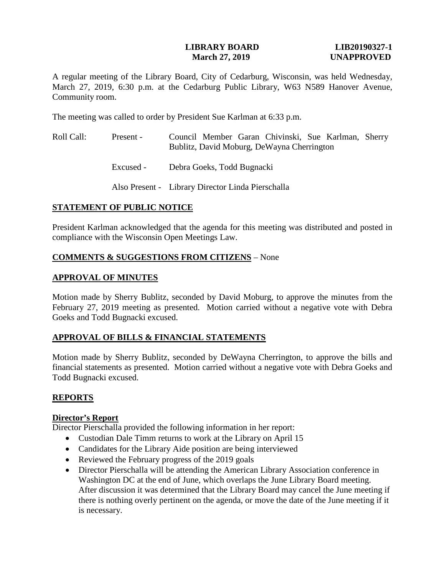#### **LIBRARY BOARD LIB20190327-1 March 27, 2019 UNAPPROVED**

A regular meeting of the Library Board, City of Cedarburg, Wisconsin, was held Wednesday, March 27, 2019, 6:30 p.m. at the Cedarburg Public Library, W63 N589 Hanover Avenue, Community room.

The meeting was called to order by President Sue Karlman at 6:33 p.m.

- Roll Call: Present Council Member Garan Chivinski, Sue Karlman, Sherry Bublitz, David Moburg, DeWayna Cherrington
	- Excused Debra Goeks, Todd Bugnacki

Also Present - Library Director Linda Pierschalla

# **STATEMENT OF PUBLIC NOTICE**

President Karlman acknowledged that the agenda for this meeting was distributed and posted in compliance with the Wisconsin Open Meetings Law.

# **COMMENTS & SUGGESTIONS FROM CITIZENS** – None

# **APPROVAL OF MINUTES**

Motion made by Sherry Bublitz, seconded by David Moburg, to approve the minutes from the February 27, 2019 meeting as presented. Motion carried without a negative vote with Debra Goeks and Todd Bugnacki excused.

# **APPROVAL OF BILLS & FINANCIAL STATEMENTS**

Motion made by Sherry Bublitz, seconded by DeWayna Cherrington, to approve the bills and financial statements as presented. Motion carried without a negative vote with Debra Goeks and Todd Bugnacki excused.

# **REPORTS**

# **Director's Report**

Director Pierschalla provided the following information in her report:

- Custodian Dale Timm returns to work at the Library on April 15
- Candidates for the Library Aide position are being interviewed
- Reviewed the February progress of the 2019 goals
- Director Pierschalla will be attending the American Library Association conference in Washington DC at the end of June, which overlaps the June Library Board meeting. After discussion it was determined that the Library Board may cancel the June meeting if there is nothing overly pertinent on the agenda, or move the date of the June meeting if it is necessary.